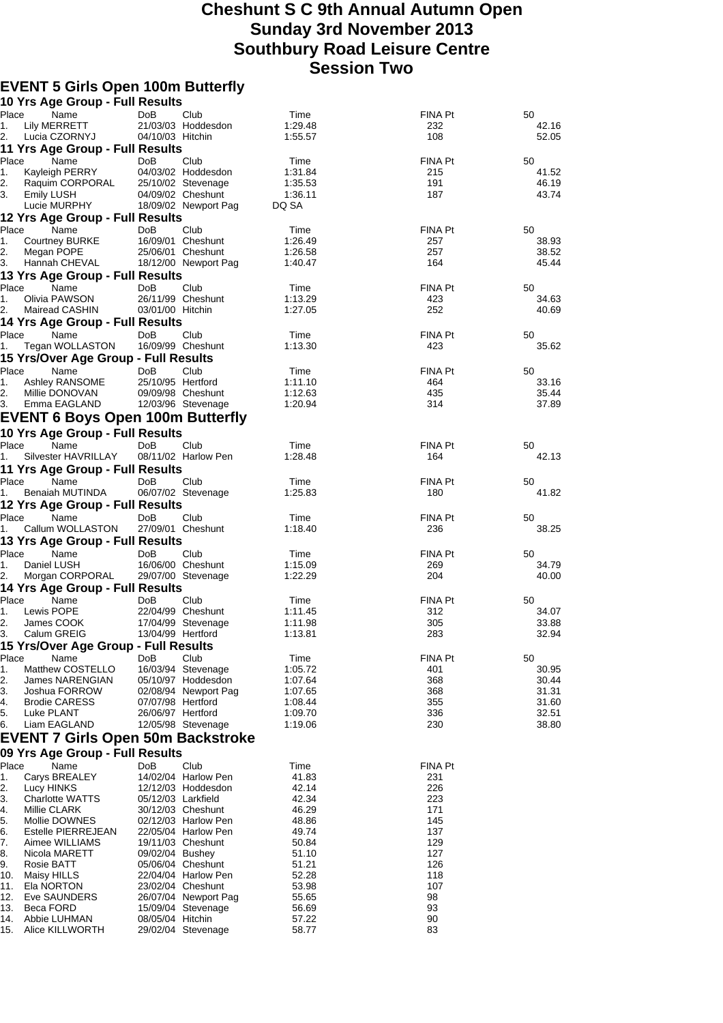## **Cheshunt S C 9th Annual Autumn Open Sunday 3rd November 2013 Southbury Road Leisure Centre Session Two**

## **EVENT 5 Girls Open 100m Butterfly**

|             | 10 Yrs Age Group - Full Results          |                    |                                          |                    |                |                |
|-------------|------------------------------------------|--------------------|------------------------------------------|--------------------|----------------|----------------|
| Place       | Name                                     | DoB                | Club                                     | Time               | FINA Pt        | 50             |
| 1.          | Lily MERRETT                             |                    | 21/03/03 Hoddesdon                       | 1:29.48            | 232            | 42.16          |
| 2.          | Lucia CZORNYJ                            | 04/10/03 Hitchin   |                                          | 1:55.57            | 108            | 52.05          |
|             | 11 Yrs Age Group - Full Results          |                    |                                          |                    |                |                |
| Place       | Name                                     | DoB                | Club                                     | Time               | FINA Pt        | 50             |
| 1.          | Kayleigh PERRY                           |                    | 04/03/02 Hoddesdon                       | 1:31.84            | 215            | 41.52          |
| 2.          | Raquim CORPORAL                          |                    | 25/10/02 Stevenage                       | 1:35.53            | 191            | 46.19          |
| 3.          | <b>Emily LUSH</b>                        |                    | 04/09/02 Cheshunt                        | 1:36.11            | 187            | 43.74          |
|             | Lucie MURPHY                             |                    | 18/09/02 Newport Pag                     | DQ SA              |                |                |
|             | 12 Yrs Age Group - Full Results          |                    |                                          |                    |                |                |
| Place       | Name                                     | DoB                | Club<br>16/09/01 Cheshunt                | Time<br>1:26.49    | FINA Pt<br>257 | 50             |
| 1.<br>2.    | <b>Courtney BURKE</b><br>Megan POPE      |                    | 25/06/01 Cheshunt                        | 1:26.58            | 257            | 38.93<br>38.52 |
| 3.          | Hannah CHEVAL                            |                    | 18/12/00 Newport Pag                     | 1:40.47            | 164            | 45.44          |
|             | 13 Yrs Age Group - Full Results          |                    |                                          |                    |                |                |
| Place       | Name                                     | DoB                | Club                                     | Time               | FINA Pt        | 50             |
| 1.          | Olivia PAWSON                            |                    | 26/11/99 Cheshunt                        | 1:13.29            | 423            | 34.63          |
| 2.          | Mairead CASHIN                           | 03/01/00 Hitchin   |                                          | 1:27.05            | 252            | 40.69          |
|             | 14 Yrs Age Group - Full Results          |                    |                                          |                    |                |                |
| Place       | Name                                     | DoB                | Club                                     | Time               | FINA Pt        | 50             |
| 1.          | Tegan WOLLASTON                          |                    | 16/09/99 Cheshunt                        | 1:13.30            | 423            | 35.62          |
|             | 15 Yrs/Over Age Group - Full Results     |                    |                                          |                    |                |                |
| Place       | Name                                     | <b>DoB</b>         | Club                                     | Time               | FINA Pt        | 50             |
| 1.          | Ashley RANSOME                           | 25/10/95 Hertford  |                                          | 1:11.10            | 464            | 33.16          |
| 2.          | Millie DONOVAN                           |                    | 09/09/98 Cheshunt                        | 1:12.63            | 435            | 35.44          |
| 3.          | Emma EAGLAND                             |                    | 12/03/96 Stevenage                       | 1:20.94            | 314            | 37.89          |
|             | EVENT 6 Boys Open 100m Butterfly         |                    |                                          |                    |                |                |
|             | 10 Yrs Age Group - Full Results          |                    |                                          |                    |                |                |
| Place       | Name                                     | DoB                | Club                                     | Time               | <b>FINA Pt</b> | 50             |
| 1.          | Silvester HAVRILLAY                      |                    | 08/11/02 Harlow Pen                      | 1:28.48            | 164            | 42.13          |
|             | 11 Yrs Age Group - Full Results          |                    |                                          |                    |                |                |
| Place       | Name                                     | <b>DoB</b>         | Club                                     | Time               | FINA Pt        | 50             |
| 1.          | Benaiah MUTINDA                          |                    | 06/07/02 Stevenage                       | 1:25.83            | 180            | 41.82          |
|             | 12 Yrs Age Group - Full Results          |                    |                                          |                    |                |                |
| Place       | Name                                     | DoB                | Club                                     | Time               | <b>FINA Pt</b> | 50             |
| 1.          | Callum WOLLASTON                         |                    | 27/09/01 Cheshunt                        | 1:18.40            | 236            | 38.25          |
|             | 13 Yrs Age Group - Full Results          |                    |                                          |                    |                |                |
| Place       | Name                                     | DoB                | Club                                     | Time               | FINA Pt        | 50             |
| 1.          | Daniel LUSH                              |                    | 16/06/00 Cheshunt                        | 1:15.09            | 269            | 34.79          |
| 2.          | Morgan CORPORAL                          |                    | 29/07/00 Stevenage                       | 1:22.29            | 204            | 40.00          |
|             | 14 Yrs Age Group - Full Results          |                    |                                          |                    |                |                |
| Place       | Name                                     | DoB                | Club                                     | Time               | <b>FINA Pt</b> | 50             |
| 1.          | Lewis POPE                               |                    | 22/04/99 Cheshunt                        | 1:11.45            | 312            | 34.07          |
| 2.          | James COOK                               |                    | 17/04/99 Stevenage                       | 1:11.98            | 305            | 33.88          |
| 3.          | Calum GREIG                              | 13/04/99 Hertford  |                                          | 1:13.81            | 283            | 32.94          |
|             | 15 Yrs/Over Age Group - Full Results     |                    |                                          |                    |                |                |
| Place<br>1. | Name<br>Matthew COSTELLO                 | DoB                | Club<br>16/03/94 Stevenage               | Time               | FINA Pt        | 50             |
| 2.          | James NARENGIAN                          |                    | 05/10/97 Hoddesdon                       | 1:05.72<br>1:07.64 | 401<br>368     | 30.95<br>30.44 |
| 3.          | Joshua FORROW                            |                    | 02/08/94 Newport Pag                     | 1:07.65            | 368            | 31.31          |
| 4.          | <b>Brodie CARESS</b>                     | 07/07/98 Hertford  |                                          | 1:08.44            | 355            | 31.60          |
| 5.          | Luke PLANT                               | 26/06/97 Hertford  |                                          | 1:09.70            | 336            | 32.51          |
| 6.          | Liam EAGLAND                             |                    | 12/05/98 Stevenage                       | 1:19.06            | 230            | 38.80          |
|             | <b>EVENT 7 Girls Open 50m Backstroke</b> |                    |                                          |                    |                |                |
|             | 09 Yrs Age Group - Full Results          |                    |                                          |                    |                |                |
| Place       | Name                                     | <b>DoB</b>         | Club                                     | Time               | FINA Pt        |                |
| 1.          | Carys BREALEY                            |                    | 14/02/04 Harlow Pen                      | 41.83              | 231            |                |
| 2.          | Lucy HINKS                               |                    | 12/12/03 Hoddesdon                       | 42.14              | 226            |                |
| 3.          | <b>Charlotte WATTS</b>                   | 05/12/03 Larkfield |                                          | 42.34              | 223            |                |
| 4.          | Millie CLARK                             |                    | 30/12/03 Cheshunt                        | 46.29              | 171            |                |
| 5.          | Mollie DOWNES                            |                    | 02/12/03 Harlow Pen                      | 48.86              | 145            |                |
| 6.          | Estelle PIERREJEAN                       |                    | 22/05/04 Harlow Pen                      | 49.74              | 137            |                |
| 7.          | Aimee WILLIAMS                           |                    | 19/11/03 Cheshunt                        | 50.84              | 129            |                |
| 8.<br>9.    | Nicola MARETT                            | 09/02/04 Bushey    |                                          | 51.10              | 127            |                |
| 10.         | Rosie BATT<br>Maisy HILLS                |                    | 05/06/04 Cheshunt<br>22/04/04 Harlow Pen | 51.21<br>52.28     | 126<br>118     |                |
| 11.         | Ela NORTON                               |                    | 23/02/04 Cheshunt                        | 53.98              | 107            |                |
| 12.         | Eve SAUNDERS                             |                    | 26/07/04 Newport Pag                     | 55.65              | 98             |                |
| 13.         | Beca FORD                                |                    | 15/09/04 Stevenage                       | 56.69              | 93             |                |
| 14.         | Abbie LUHMAN                             | 08/05/04 Hitchin   |                                          | 57.22              | 90             |                |
| 15.         | Alice KILLWORTH                          |                    | 29/02/04 Stevenage                       | 58.77              | 83             |                |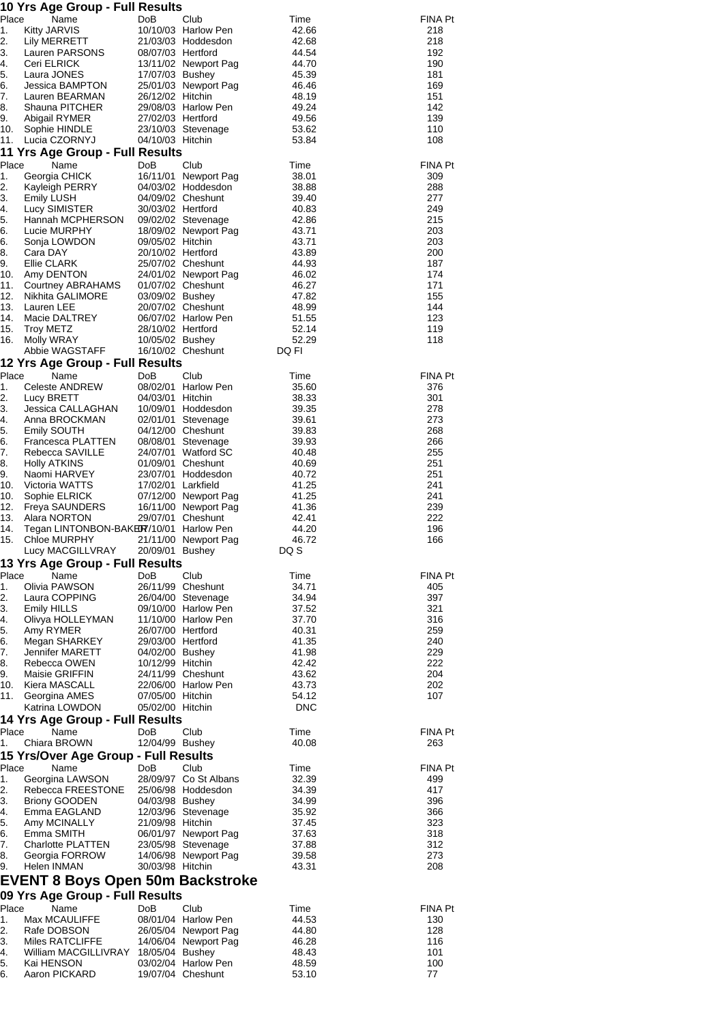|             | 10 Yrs Age Group - Full Results                                |                                       |                                          |                |                |
|-------------|----------------------------------------------------------------|---------------------------------------|------------------------------------------|----------------|----------------|
| Place       | Name                                                           | DoB                                   | Club                                     | Time           | FINA Pt        |
| 1.          | <b>Kitty JARVIS</b>                                            |                                       | 10/10/03 Harlow Pen                      | 42.66          | 218            |
| 2.<br>3.    | Lily MERRETT<br>Lauren PARSONS                                 |                                       | 21/03/03 Hoddesdon                       | 42.68<br>44.54 | 218<br>192     |
| 4.          | Ceri ELRICK                                                    | 08/07/03 Hertford                     | 13/11/02 Newport Pag                     | 44.70          | 190            |
| 5.          | Laura JONES                                                    | 17/07/03 Bushey                       |                                          | 45.39          | 181            |
| 6.          | Jessica BAMPTON                                                |                                       | 25/01/03 Newport Pag                     | 46.46          | 169            |
| 7.          | Lauren BEARMAN                                                 | 26/12/02 Hitchin                      |                                          | 48.19          | 151            |
| 8.          | Shauna PITCHER                                                 |                                       | 29/08/03 Harlow Pen                      | 49.24          | 142            |
| 9.          | Abigail RYMER                                                  | 27/02/03 Hertford                     |                                          | 49.56          | 139            |
| 10.         | Sophie HINDLE                                                  |                                       | 23/10/03 Stevenage                       | 53.62          | 110            |
| 11.         | Lucia CZORNYJ                                                  | 04/10/03 Hitchin                      |                                          | 53.84          | 108            |
| Place       | 11 Yrs Age Group - Full Results<br>Name                        | DoB                                   | Club                                     | Time           | <b>FINA Pt</b> |
| 1.          | Georgia CHICK                                                  |                                       | 16/11/01 Newport Pag                     | 38.01          | 309            |
| 2.          | Kayleigh PERRY                                                 |                                       | 04/03/02 Hoddesdon                       | 38.88          | 288            |
| 3.          | Emily LUSH                                                     |                                       | 04/09/02 Cheshunt                        | 39.40          | 277            |
| 4.          | Lucy SIMISTER                                                  | 30/03/02 Hertford                     |                                          | 40.83          | 249            |
| 5.          | Hannah MCPHERSON                                               |                                       | 09/02/02 Stevenage                       | 42.86          | 215            |
| 6.          | Lucie MURPHY                                                   |                                       | 18/09/02 Newport Pag                     | 43.71          | 203            |
| 6.<br>8.    | Sonja LOWDON<br>Cara DAY                                       | 09/05/02 Hitchin<br>20/10/02 Hertford |                                          | 43.71<br>43.89 | 203            |
| 9.          | Ellie CLARK                                                    |                                       | 25/07/02 Cheshunt                        | 44.93          | 200<br>187     |
| 10.         | Amy DENTON                                                     |                                       | 24/01/02 Newport Pag                     | 46.02          | 174            |
| 11.         | Courtney ABRAHAMS                                              |                                       | 01/07/02 Cheshunt                        | 46.27          | 171            |
| 12.         | Nikhita GALIMORE                                               | 03/09/02 Bushey                       |                                          | 47.82          | 155            |
| 13.         | Lauren LEE                                                     |                                       | 20/07/02 Cheshunt                        | 48.99          | 144            |
| 14.         | Macie DALTREY                                                  |                                       | 06/07/02 Harlow Pen                      | 51.55          | 123            |
| 15.         | <b>Troy METZ</b>                                               | 28/10/02 Hertford                     |                                          | 52.14          | 119            |
| 16.         | Molly WRAY<br>Abbie WAGSTAFF                                   | 10/05/02 Bushey                       | 16/10/02 Cheshunt                        | 52.29<br>DQ FI | 118            |
|             | 12 Yrs Age Group - Full Results                                |                                       |                                          |                |                |
| Place       | Name                                                           | DoB                                   | Club                                     | Time           | FINA Pt        |
| 1.          | <b>Celeste ANDREW</b>                                          |                                       | 08/02/01 Harlow Pen                      | 35.60          | 376            |
| 2.          | Lucy BRETT                                                     | 04/03/01 Hitchin                      |                                          | 38.33          | 301            |
| 3.          | Jessica CALLAGHAN                                              |                                       | 10/09/01 Hoddesdon                       | 39.35          | 278            |
| 4.          | Anna BROCKMAN                                                  |                                       | 02/01/01 Stevenage                       | 39.61          | 273            |
| 5.          | <b>Emily SOUTH</b>                                             |                                       | 04/12/00 Cheshunt                        | 39.83          | 268            |
| 6.          | Francesca PLATTEN                                              |                                       | 08/08/01 Stevenage                       | 39.93          | 266            |
| 7.<br>8.    | Rebecca SAVILLE<br><b>Holly ATKINS</b>                         |                                       | 24/07/01 Watford SC<br>01/09/01 Cheshunt | 40.48<br>40.69 | 255<br>251     |
| 9.          | Naomi HARVEY                                                   |                                       | 23/07/01 Hoddesdon                       | 40.72          | 251            |
| 10.         | Victoria WATTS                                                 | 17/02/01 Larkfield                    |                                          | 41.25          | 241            |
| 10.         | Sophie ELRICK                                                  |                                       | 07/12/00 Newport Pag                     | 41.25          | 241            |
| 12.         | <b>Freya SAUNDERS</b>                                          |                                       | 16/11/00 Newport Pag                     | 41.36          | 239            |
| 13.         | Alara NORTON                                                   |                                       | 29/07/01 Cheshunt                        | 42.41          | 222            |
| 14.<br>15.  | Tegan LINTONBON-BAKER7/10/01 Harlow Pen<br><b>Chloe MURPHY</b> |                                       | 21/11/00 Newport Pag                     | 44.20<br>46.72 | 196<br>166     |
|             | Lucy MACGILLVRAY                                               | 20/09/01 Bushey                       |                                          | DQ S           |                |
|             | 13 Yrs Age Group - Full Results                                |                                       |                                          |                |                |
| Place       | Name                                                           | DoB                                   | Club                                     | Time           | FINA Pt        |
| 1.          | Olivia PAWSON                                                  |                                       | 26/11/99 Cheshunt                        | 34.71          | 405            |
| 2.          | Laura COPPING                                                  |                                       | 26/04/00 Stevenage                       | 34.94          | 397            |
| 3.          | Emily HILLS                                                    |                                       | 09/10/00 Harlow Pen                      | 37.52          | 321            |
| 4.          | Olivya HOLLEYMAN                                               |                                       | 11/10/00 Harlow Pen                      | 37.70          | 316            |
| 5.          | Amy RYMER                                                      | 26/07/00 Hertford                     |                                          | 40.31          | 259            |
| 6.<br>7.    | Megan SHARKEY<br><b>Jennifer MARETT</b>                        | 29/03/00 Hertford<br>04/02/00 Bushey  |                                          | 41.35<br>41.98 | 240<br>229     |
| 8.          | Rebecca OWEN                                                   | 10/12/99 Hitchin                      |                                          | 42.42          | 222            |
| 9.          | Maisie GRIFFIN                                                 |                                       | 24/11/99 Cheshunt                        | 43.62          | 204            |
| 10.         | Kiera MASCALL                                                  |                                       | 22/06/00 Harlow Pen                      | 43.73          | 202            |
| 11.         | Georgina AMES                                                  | 07/05/00 Hitchin                      |                                          | 54.12          | 107            |
|             | Katrina LOWDON                                                 | 05/02/00 Hitchin                      |                                          | <b>DNC</b>     |                |
|             | 14 Yrs Age Group - Full Results                                |                                       |                                          |                |                |
| Place<br>1. | Name<br>Chiara BROWN                                           | DoB.<br>12/04/99 Bushey               | Club                                     | Time<br>40.08  | FINA Pt<br>263 |
|             | 15 Yrs/Over Age Group - Full Results                           |                                       |                                          |                |                |
| Place       | Name                                                           | DoB                                   | Club                                     | Time           | <b>FINA Pt</b> |
| 1.          | Georgina LAWSON                                                |                                       | 28/09/97 Co St Albans                    | 32.39          | 499            |
| 2.          | Rebecca FREESTONE                                              |                                       | 25/06/98 Hoddesdon                       | 34.39          | 417            |
| 3.          | <b>Briony GOODEN</b>                                           | 04/03/98 Bushey                       |                                          | 34.99          | 396            |
| 4.          | Emma EAGLAND                                                   |                                       | 12/03/96 Stevenage                       | 35.92          | 366            |
| 5.          | Amy MCINALLY                                                   | 21/09/98 Hitchin                      |                                          | 37.45          | 323            |
| 6.          | Emma SMITH                                                     |                                       | 06/01/97 Newport Pag                     | 37.63          | 318            |
| 7.<br>8.    | <b>Charlotte PLATTEN</b>                                       |                                       | 23/05/98 Stevenage                       | 37.88          | 312            |
| 9.          | Georgia FORROW<br>Helen INMAN                                  | 30/03/98 Hitchin                      | 14/06/98 Newport Pag                     | 39.58<br>43.31 | 273<br>208     |
|             | <b>EVENT 8 Boys Open 50m Backstroke</b>                        |                                       |                                          |                |                |
|             |                                                                |                                       |                                          |                |                |
|             | 09 Yrs Age Group - Full Results                                |                                       |                                          |                |                |
| Place<br>1. | Name<br>Max MCAULIFFE                                          | DoB                                   | Club<br>08/01/04 Harlow Pen              | Time<br>44.53  | FINA Pt<br>130 |
| 2.          | Rafe DOBSON                                                    |                                       | 26/05/04 Newport Pag                     | 44.80          | 128            |
| 3.          | Miles RATCLIFFE                                                |                                       | 14/06/04 Newport Pag                     | 46.28          | 116            |
| 4.          | William MACGILLIVRAY 18/05/04 Bushey                           |                                       |                                          | 48.43          | 101            |
| 5.          | Kai HENSON                                                     |                                       | 03/02/04 Harlow Pen                      | 48.59          | 100            |
| 6.          | Aaron PICKARD                                                  |                                       | 19/07/04 Cheshunt                        | 53.10          | 77             |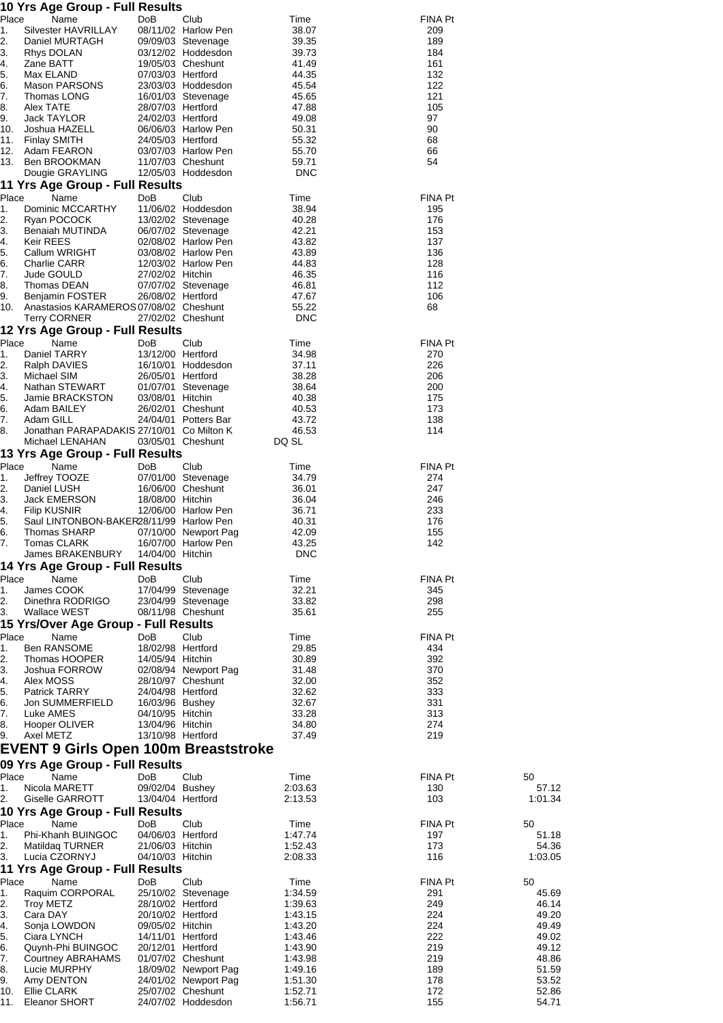|             | 10 Yrs Age Group - Full Results                           |                                       |                                              |                    |                |                  |
|-------------|-----------------------------------------------------------|---------------------------------------|----------------------------------------------|--------------------|----------------|------------------|
| Place<br>1. | Name<br>Silvester HAVRILLAY                               | DoB                                   | Club<br>08/11/02 Harlow Pen                  | Time<br>38.07      | FINA Pt<br>209 |                  |
| 2.          | Daniel MURTAGH                                            |                                       | 09/09/03 Stevenage                           | 39.35              | 189            |                  |
| З.          | Rhys DOLAN                                                |                                       | 03/12/02 Hoddesdon                           | 39.73              | 184            |                  |
| 4.          | Zane BATT                                                 |                                       | 19/05/03 Cheshunt                            | 41.49              | 161            |                  |
| 5.<br>6.    | Max ELAND<br>Mason PARSONS                                | 07/03/03 Hertford                     | 23/03/03 Hoddesdon                           | 44.35<br>45.54     | 132<br>122     |                  |
| 7.          | Thomas LONG                                               |                                       | 16/01/03 Stevenage                           | 45.65              | 121            |                  |
| 8.          | Alex TATE                                                 | 28/07/03 Hertford                     |                                              | 47.88              | 105            |                  |
| 9.          | Jack TAYLOR                                               | 24/02/03 Hertford                     |                                              | 49.08              | 97             |                  |
| 10.<br>11.  | Joshua HAZELL<br><b>Finlay SMITH</b>                      | 24/05/03 Hertford                     | 06/06/03 Harlow Pen                          | 50.31<br>55.32     | 90<br>68       |                  |
| 12.         | Adam FEARON                                               |                                       | 03/07/03 Harlow Pen                          | 55.70              | 66             |                  |
| 13.         | Ben BROOKMAN                                              |                                       | 11/07/03 Cheshunt                            | 59.71              | 54             |                  |
|             | Dougie GRAYLING                                           |                                       | 12/05/03 Hoddesdon                           | <b>DNC</b>         |                |                  |
| Place       | 11 Yrs Age Group - Full Results<br>Name                   | DoB                                   | Club                                         | Time               | <b>FINA Pt</b> |                  |
| 1.          | Dominic MCCARTHY                                          |                                       | 11/06/02 Hoddesdon                           | 38.94              | 195            |                  |
| 2.          | Ryan POCOCK                                               |                                       | 13/02/02 Stevenage                           | 40.28              | 176            |                  |
| 3.          | Benaiah MUTINDA                                           |                                       | 06/07/02 Stevenage                           | 42.21              | 153            |                  |
| 4.<br>5.    | Keir REES<br>Callum WRIGHT                                |                                       | 02/08/02 Harlow Pen<br>03/08/02 Harlow Pen   | 43.82<br>43.89     | 137<br>136     |                  |
| 6.          | Charlie CARR                                              |                                       | 12/03/02 Harlow Pen                          | 44.83              | 128            |                  |
| 7.          | Jude GOULD                                                | 27/02/02 Hitchin                      |                                              | 46.35              | 116            |                  |
| 8.<br>9.    | Thomas DEAN                                               | 26/08/02 Hertford                     | 07/07/02 Stevenage                           | 46.81              | 112            |                  |
| 10.         | Benjamin FOSTER<br>Anastasios KARAMEROS 07/08/02 Cheshunt |                                       |                                              | 47.67<br>55.22     | 106<br>68      |                  |
|             | <b>Terry CORNER</b>                                       |                                       | 27/02/02 Cheshunt                            | <b>DNC</b>         |                |                  |
|             | 12 Yrs Age Group - Full Results                           |                                       |                                              |                    |                |                  |
| Place       | Name                                                      | DoB                                   | Club                                         | Time               | FINA Pt        |                  |
| 1.<br>2.    | Daniel TARRY<br>Ralph DAVIES                              | 13/12/00 Hertford                     | 16/10/01 Hoddesdon                           | 34.98<br>37.11     | 270<br>226     |                  |
| 3.          | Michael SIM                                               | 26/05/01 Hertford                     |                                              | 38.28              | 206            |                  |
| 4.          | Nathan STEWART                                            |                                       | 01/07/01 Stevenage                           | 38.64              | 200            |                  |
| 5.          | Jamie BRACKSTON                                           | 03/08/01 Hitchin                      |                                              | 40.38              | 175            |                  |
| 6.<br>7.    | Adam BAILEY<br>Adam GILL                                  |                                       | 26/02/01 Cheshunt<br>24/04/01 Potters Bar    | 40.53<br>43.72     | 173<br>138     |                  |
| 8.          | Jonathan PARAPADAKIS 27/10/01 Co Milton K                 |                                       |                                              | 46.53              | 114            |                  |
|             | Michael LENAHAN                                           |                                       | 03/05/01 Cheshunt                            | DQ SL              |                |                  |
|             | 13 Yrs Age Group - Full Results                           |                                       |                                              |                    |                |                  |
| Place       | Name                                                      | DoB                                   | Club<br>07/01/00 Stevenage                   | Time               | FINA Pt        |                  |
| 1.<br>2.    | Jeffrey TOOZE<br>Daniel LUSH                              |                                       | 16/06/00 Cheshunt                            | 34.79<br>36.01     | 274<br>247     |                  |
| 3.          | Jack EMERSON                                              | 18/08/00 Hitchin                      |                                              | 36.04              | 246            |                  |
| 4.          | <b>Filip KUSNIR</b>                                       |                                       | 12/06/00 Harlow Pen                          | 36.71              | 233            |                  |
| 5.<br>6.    | Saul LINTONBON-BAKER28/11/99 Harlow Pen<br>Thomas SHARP   |                                       | 07/10/00 Newport Pag                         | 40.31<br>42.09     | 176<br>155     |                  |
| 7.          | Tomas CLARK                                               |                                       | 16/07/00 Harlow Pen                          | 43.25              | 142            |                  |
|             | James BRAKENBURY                                          | 14/04/00 Hitchin                      |                                              | <b>DNC</b>         |                |                  |
|             | 14 Yrs Age Group - Full Results                           |                                       |                                              |                    |                |                  |
| Place       | Name                                                      | DoB                                   | Club                                         | Time               | FINA Pt        |                  |
| 1.<br>2.    | James COOK<br>Dinethra RODRIGO                            |                                       | 17/04/99 Stevenage<br>23/04/99 Stevenage     | 32.21<br>33.82     | 345<br>298     |                  |
| 3.          | Wallace WEST                                              |                                       | 08/11/98 Cheshunt                            | 35.61              | 255            |                  |
|             | 15 Yrs/Over Age Group - Full Results                      |                                       |                                              |                    |                |                  |
| Place       | Name                                                      | DoB                                   | Club                                         | Time               | FINA Pt        |                  |
| 1.          | <b>Ben RANSOME</b><br>Thomas HOOPER                       | 18/02/98 Hertford<br>14/05/94 Hitchin |                                              | 29.85<br>30.89     | 434<br>392     |                  |
| 2.<br>3.    | Joshua FORROW                                             |                                       | 02/08/94 Newport Pag                         | 31.48              | 370            |                  |
| 4.          | Alex MOSS                                                 |                                       | 28/10/97 Cheshunt                            | 32.00              | 352            |                  |
| 5.          | <b>Patrick TARRY</b>                                      | 24/04/98 Hertford                     |                                              | 32.62              | 333            |                  |
| 6.<br>7.    | Jon SUMMERFIELD<br>Luke AMES                              | 16/03/96 Bushey<br>04/10/95 Hitchin   |                                              | 32.67<br>33.28     | 331<br>313     |                  |
| 8.          | Hooper OLIVER                                             | 13/04/96 Hitchin                      |                                              | 34.80              | 274            |                  |
| 9.          | Axel METZ                                                 | 13/10/98 Hertford                     |                                              | 37.49              | 219            |                  |
|             | <b>EVENT 9 Girls Open 100m Breaststroke</b>               |                                       |                                              |                    |                |                  |
|             | 09 Yrs Age Group - Full Results                           |                                       |                                              |                    |                |                  |
| Place       | Name                                                      | DoB                                   | Club                                         | Time               | FINA Pt        | 50               |
| 1.<br>2.    | Nicola MARETT<br>Giselle GARROTT                          | 09/02/04 Bushey<br>13/04/04 Hertford  |                                              | 2:03.63<br>2:13.53 | 130<br>103     | 57.12<br>1:01.34 |
|             | 10 Yrs Age Group - Full Results                           |                                       |                                              |                    |                |                  |
| Place       | Name                                                      | DoB                                   | Club                                         | Time               | FINA Pt        | 50               |
| 1.          | Phi-Khanh BUINGOC                                         | 04/06/03 Hertford                     |                                              | 1.47.74            | 197            | 51.18            |
| 2.          | Matildag TURNER                                           | 21/06/03 Hitchin                      |                                              | 1:52.43            | 173            | 54.36            |
| 3.          | Lucia CZORNYJ                                             | 04/10/03 Hitchin                      |                                              | 2:08.33            | 116            | 1:03.05          |
| 11<br>Place | <b>Yrs Age Group - Full Results</b><br>Name               | DoB                                   | Club                                         | Time               | FINA Pt        | 50               |
| 1.          | Raquim CORPORAL                                           |                                       | 25/10/02 Stevenage                           | 1:34.59            | 291            | 45.69            |
| 2.          | <b>Troy METZ</b>                                          | 28/10/02 Hertford                     |                                              | 1:39.63            | 249            | 46.14            |
| 3.          | Cara DAY                                                  | 20/10/02 Hertford                     |                                              | 1:43.15            | 224            | 49.20            |
| 4.<br>5.    | Sonja LOWDON<br>Ciara LYNCH                               | 09/05/02 Hitchin<br>14/11/01 Hertford |                                              | 1:43.20<br>1:43.46 | 224<br>222     | 49.49<br>49.02   |
| 6.          | Quynh-Phi BUINGOC                                         | 20/12/01 Hertford                     |                                              | 1:43.90            | 219            | 49.12            |
| 7.          | Courtney ABRAHAMS                                         |                                       | 01/07/02 Cheshunt                            | 1:43.98            | 219            | 48.86            |
| 8.<br>9.    | Lucie MURPHY                                              |                                       | 18/09/02 Newport Pag<br>24/01/02 Newport Pag | 1:49.16            | 189            | 51.59<br>53.52   |
| 10.         | Amy DENTON<br>Ellie CLARK                                 |                                       | 25/07/02 Cheshunt                            | 1:51.30<br>1:52.71 | 178<br>172     | 52.86            |
| 11.         | Eleanor SHORT                                             |                                       | 24/07/02 Hoddesdon                           | 1:56.71            | 155            | 54.71            |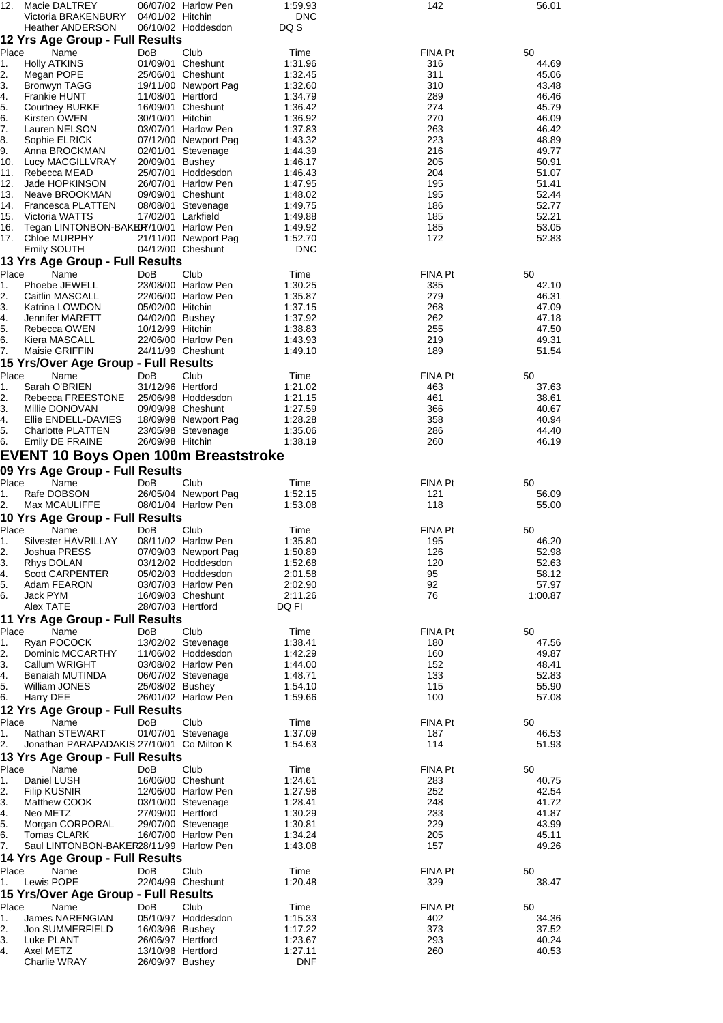|                                     | Macie DALTREY                                              |                                        | 06/07/02 Harlow Pen                        | 1:59.93            | 142            | 56.01          |
|-------------------------------------|------------------------------------------------------------|----------------------------------------|--------------------------------------------|--------------------|----------------|----------------|
|                                     | Victoria BRAKENBURY                                        | 04/01/02 Hitchin                       |                                            | <b>DNC</b>         |                |                |
|                                     | <b>Heather ANDERSON</b><br>12 Yrs Age Group - Full Results |                                        | 06/10/02 Hoddesdon                         | DQ S               |                |                |
| Place                               | Name                                                       | DoB                                    | Club                                       | Time               | FINA Pt        | 50             |
| 1.                                  | <b>Holly ATKINS</b>                                        | 01/09/01                               | Cheshunt                                   | 1:31.96            | 316            | 44.69          |
| 2.                                  | Megan POPE                                                 |                                        | 25/06/01 Cheshunt                          | 1:32.45            | 311            | 45.06          |
| 3.<br>4.                            | Bronwyn TAGG<br>Frankie HUNT                               | 11/08/01 Hertford                      | 19/11/00 Newport Pag                       | 1:32.60<br>1:34.79 | 310<br>289     | 43.48<br>46.46 |
| 5.                                  | <b>Courtney BURKE</b>                                      |                                        | 16/09/01 Cheshunt                          | 1:36.42            | 274            | 45.79          |
| 6.                                  | Kirsten OWEN                                               | 30/10/01 Hitchin                       |                                            | 1:36.92            | 270            | 46.09          |
| 7.                                  | Lauren NELSON                                              |                                        | 03/07/01 Harlow Pen                        | 1:37.83            | 263            | 46.42          |
| 8.<br>9.                            | Sophie ELRICK<br>Anna BROCKMAN                             |                                        | 07/12/00 Newport Pag<br>02/01/01 Stevenage | 1:43.32<br>1:44.39 | 223<br>216     | 48.89<br>49.77 |
| 10.                                 | Lucy MACGILLVRAY                                           | 20/09/01 Bushey                        |                                            | 1:46.17            | 205            | 50.91          |
| 11.                                 | Rebecca MEAD                                               |                                        | 25/07/01 Hoddesdon                         | 1:46.43            | 204            | 51.07          |
| 12.                                 | Jade HOPKINSON                                             |                                        | 26/07/01 Harlow Pen                        | 1:47.95            | 195            | 51.41          |
| 13.                                 | Neave BROOKMAN                                             |                                        | 09/09/01 Cheshunt                          | 1:48.02            | 195            | 52.44          |
| 15.                                 | 14. Francesca PLATTEN<br>Victoria WATTS                    | 17/02/01 Larkfield                     | 08/08/01 Stevenage                         | 1:49.75<br>1:49.88 | 186<br>185     | 52.77<br>52.21 |
| 16.                                 | Tegan LINTONBON-BAKER7/10/01 Harlow Pen                    |                                        |                                            | 1:49.92            | 185            | 53.05          |
| 17.                                 | <b>Chloe MURPHY</b>                                        |                                        | 21/11/00 Newport Pag                       | 1:52.70            | 172            | 52.83          |
|                                     | Emily SOUTH                                                |                                        | 04/12/00 Cheshunt                          | <b>DNC</b>         |                |                |
|                                     | 13 Yrs Age Group - Full Results                            |                                        |                                            |                    |                |                |
| Place                               | Name                                                       | DoB                                    | Club<br>23/08/00 Harlow Pen                | Time               | FINA Pt        | 50<br>42.10    |
| 1.<br>2.                            | Phoebe JEWELL<br>Caitlin MASCALL                           |                                        | 22/06/00 Harlow Pen                        | 1:30.25<br>1:35.87 | 335<br>279     | 46.31          |
| 3.                                  | Katrina LOWDON                                             | 05/02/00 Hitchin                       |                                            | 1:37.15            | 268            | 47.09          |
| 4.                                  | Jennifer MARETT                                            | 04/02/00 Bushey                        |                                            | 1:37.92            | 262            | 47.18          |
| 5.                                  | Rebecca OWEN                                               | 10/12/99 Hitchin                       |                                            | 1:38.83            | 255            | 47.50          |
| 6.                                  | Kiera MASCALL                                              |                                        | 22/06/00 Harlow Pen<br>24/11/99 Cheshunt   | 1:43.93            | 219<br>189     | 49.31          |
| 7.                                  | Maisie GRIFFIN<br>15 Yrs/Over Age Group - Full Results     |                                        |                                            | 1:49.10            |                | 51.54          |
| Place                               | Name                                                       | DoB                                    | Club                                       | Time               | <b>FINA Pt</b> | 50             |
| 1.                                  | Sarah O'BRIEN                                              | 31/12/96 Hertford                      |                                            | 1:21.02            | 463            | 37.63          |
| 2.                                  | Rebecca FREESTONE                                          |                                        | 25/06/98 Hoddesdon                         | 1:21.15            | 461            | 38.61          |
| 3.                                  | Millie DONOVAN                                             |                                        | 09/09/98 Cheshunt                          | 1:27.59            | 366            | 40.67          |
| 4.<br>5.                            | Ellie ENDELL-DAVIES                                        |                                        | 18/09/98 Newport Pag                       | 1:28.28            | 358            | 40.94<br>44.40 |
| 6.                                  | <b>Charlotte PLATTEN</b><br>Emily DE FRAINE                | 26/09/98 Hitchin                       | 23/05/98 Stevenage                         | 1:35.06<br>1:38.19 | 286<br>260     | 46.19          |
|                                     | EVENT 10 Boys Open 100m Breaststroke                       |                                        |                                            |                    |                |                |
|                                     | 09 Yrs Age Group - Full Results                            |                                        |                                            |                    |                |                |
| Place                               | Name                                                       | DoB                                    | Club                                       | Time               | <b>FINA Pt</b> | 50             |
| 1.                                  | Rafe DOBSON                                                |                                        | 26/05/04 Newport Pag                       | 1:52.15            | 121            | 56.09          |
| 2.                                  | Max MCAULIFFE                                              |                                        | 08/01/04 Harlow Pen                        | 1:53.08            | 118            | 55.00          |
|                                     | 10 Yrs Age Group - Full Results                            |                                        |                                            |                    |                |                |
| Place                               | Name                                                       | DoB                                    | Club                                       | Time               | FINA Pt        | 50             |
| 1.                                  | Silvester HAVRILLAY                                        |                                        | 08/11/02 Harlow Pen                        | 1:35.80            | 195            | 46.20          |
| 2.<br>3.                            | Joshua PRESS<br>Rhys DOLAN                                 |                                        | 07/09/03 Newport Pag<br>03/12/02 Hoddesdon | 1:50.89<br>1:52.68 | 126<br>120     | 52.98<br>52.63 |
| 4.                                  | Scott CARPENTER                                            |                                        | 05/02/03 Hoddesdon                         | 2:01.58            | 95             | 58.12          |
| 5.                                  | Adam FEARON                                                |                                        | 03/07/03 Harlow Pen                        | 2:02.90            | 92             |                |
| 6.                                  | Jack PYM                                                   |                                        | 16/09/03 Cheshunt                          |                    |                | 57.97          |
|                                     |                                                            |                                        |                                            | 2:11.26            | 76             | 1:00.87        |
|                                     | Alex TATE                                                  | 28/07/03 Hertford                      |                                            | DQ FI              |                |                |
|                                     | 11 Yrs Age Group - Full Results                            |                                        |                                            |                    |                |                |
|                                     | Name                                                       | <b>DoB</b>                             | Club                                       | Time               | FINA Pt        | 50             |
|                                     | Ryan POCOCK                                                |                                        | 13/02/02 Stevenage<br>11/06/02 Hoddesdon   | 1:38.41            | 180            | 47.56          |
|                                     | Dominic MCCARTHY<br>Callum WRIGHT                          |                                        | 03/08/02 Harlow Pen                        | 1:42.29<br>1:44.00 | 160<br>152     | 49.87<br>48.41 |
|                                     | Benaiah MUTINDA                                            |                                        | 06/07/02 Stevenage                         | 1:48.71            | 133            | 52.83          |
|                                     | William JONES                                              | 25/08/02 Bushey                        |                                            | 1:54.10            | 115            | 55.90          |
|                                     | Harry DEE                                                  |                                        | 26/01/02 Harlow Pen                        | 1:59.66            | 100            | 57.08          |
| Place<br>1.<br>2.<br>4.<br>5.<br>6. | 12 Yrs Age Group - Full Results                            |                                        |                                            |                    |                |                |
| Place<br>1.                         | Name<br>Nathan STEWART                                     | DoB                                    | Club<br>01/07/01 Stevenage                 | Time<br>1:37.09    | FINA Pt<br>187 | 50<br>46.53    |
| 2.                                  | Jonathan PARAPADAKIS 27/10/01 Co Milton K                  |                                        |                                            | 1:54.63            | 114            | 51.93          |
|                                     | 13 Yrs Age Group - Full Results                            |                                        |                                            |                    |                |                |
| Place                               | Name                                                       | DoB                                    | Club                                       | Time               | FINA Pt        | 50             |
| 1.                                  | Daniel LUSH                                                |                                        | 16/06/00 Cheshunt                          | 1:24.61            | 283            | 40.75          |
| 2.                                  | <b>Filip KUSNIR</b>                                        |                                        | 12/06/00 Harlow Pen                        | 1:27.98            | 252            | 42.54          |
| 3.<br>4.                            | Matthew COOK<br>Neo METZ                                   | 27/09/00 Hertford                      | 03/10/00 Stevenage                         | 1:28.41<br>1:30.29 | 248<br>233     | 41.72<br>41.87 |
| 5.                                  | Morgan CORPORAL                                            |                                        | 29/07/00 Stevenage                         | 1:30.81            | 229            | 43.99          |
| 6.                                  | Tomas CLARK                                                |                                        | 16/07/00 Harlow Pen                        | 1:34.24            | 205            | 45.11          |
| 7.                                  | Saul LINTONBON-BAKER28/11/99 Harlow Pen                    |                                        |                                            | 1:43.08            | 157            | 49.26          |
|                                     | 14 Yrs Age Group - Full Results                            |                                        |                                            |                    |                |                |
| Place<br>1.                         | Name<br>Lewis POPE                                         | DoB                                    | Club<br>22/04/99 Cheshunt                  | Time<br>1:20.48    | FINA Pt<br>329 | 50<br>38.47    |
|                                     | 15 Yrs/Over Age Group - Full Results                       |                                        |                                            |                    |                |                |
| Place                               | Name                                                       | <b>DoB</b>                             | Club                                       | Time               | FINA Pt        | 50             |
| 1.                                  | James NARENGIAN                                            |                                        | 05/10/97 Hoddesdon                         | 1:15.33            | 402            | 34.36          |
| 2.                                  | Jon SUMMERFIELD                                            | 16/03/96 Bushey                        |                                            | 1:17.22            | 373            | 37.52          |
| 3.<br>4.                            | Luke PLANT<br>Axel METZ                                    | 26/06/97 Hertford<br>13/10/98 Hertford |                                            | 1:23.67<br>1:27.11 | 293<br>260     | 40.24<br>40.53 |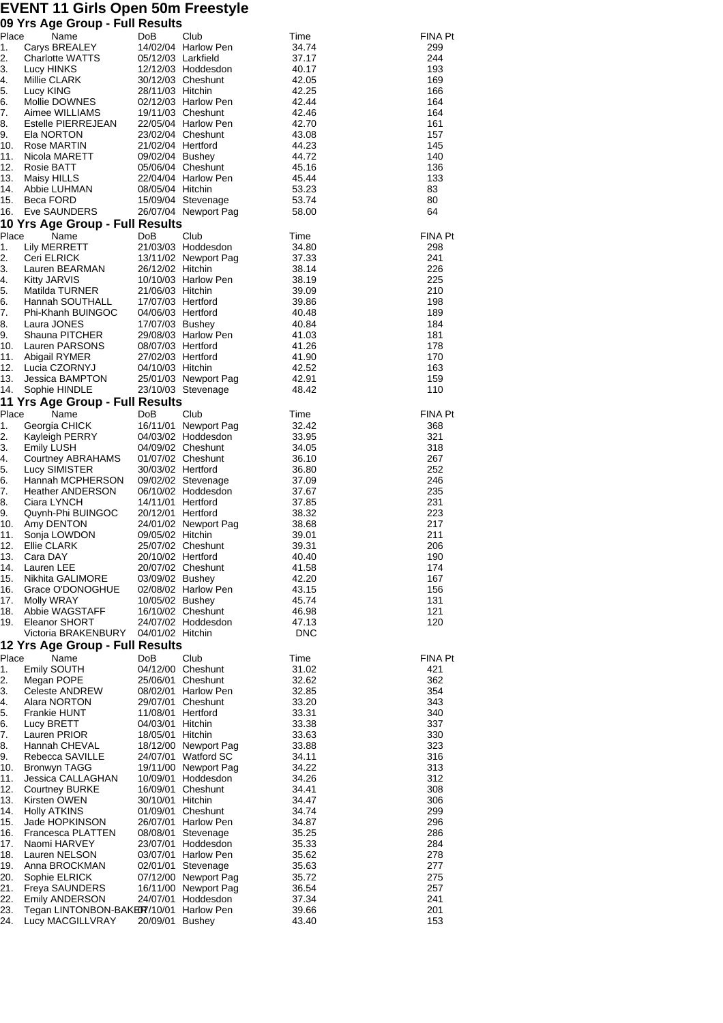## **EVENT 11 Girls Open 50m Freestyle 09 Yrs Age Group - Full Results**

| Place      | ັ<br>Name                                        | DoB                                    | Club                                       | Time           | <b>FINA Pt</b> |
|------------|--------------------------------------------------|----------------------------------------|--------------------------------------------|----------------|----------------|
| 1.         | Carys BREALEY                                    |                                        | 14/02/04 Harlow Pen                        | 34.74          | 299            |
| 2.<br>3.   | Charlotte WATTS<br>Lucy HINKS                    | 05/12/03 Larkfield                     | 12/12/03 Hoddesdon                         | 37.17<br>40.17 | 244<br>193     |
| 4.         | Millie CLARK                                     |                                        | 30/12/03 Cheshunt                          | 42.05          | 169            |
| 5.         | Lucy KING                                        | 28/11/03 Hitchin                       |                                            | 42.25          | 166            |
| 6.         | Mollie DOWNES                                    |                                        | 02/12/03 Harlow Pen                        | 42.44          | 164            |
| 7.         | Aimee WILLIAMS                                   |                                        |                                            | 42.46          | 164            |
| 8.         | Estelle PIERREJEAN<br>Ela NORTON                 |                                        | 22/05/04 Harlow Pen                        | 42.70          | 161            |
| 9.<br>10.  |                                                  | 23/02/04 Cheshunt<br>21/02/04 Hertford |                                            | 43.08<br>44.23 | 157<br>145     |
| 11.        | Rose MARTIN<br>Nicola MARETT                     | 09/02/04 Bushey                        |                                            | 44.72          | 140            |
| 12.        | Rosie BATT                                       |                                        | 05/06/04 Cheshunt                          | 45.16          | 136            |
| 13.        | Maisy HILLS                                      |                                        | 22/04/04 Harlow Pen                        | 45.44          | 133            |
| 14.        | Abbie LUHMAN                                     | 08/05/04 Hitchin                       |                                            | 53.23          | 83             |
| 15.        | Beca FORD                                        |                                        | 15/09/04 Stevenage                         | 53.74          | 80             |
| 16.        | Eve SAUNDERS<br>10 Yrs Age Group - Full Results  |                                        | 26/07/04 Newport Pag                       | 58.00          | 64             |
| Place      | Name                                             | DoB                                    | Club                                       | Time           | <b>FINA Pt</b> |
| 1.         | Lily MERRETT                                     |                                        | 21/03/03 Hoddesdon                         | 34.80          | 298            |
| 2.         | Ceri ELRICK                                      |                                        | 13/11/02 Newport Pag                       | 37.33          | 241            |
| 3.         | Lauren BEARMAN                                   | 26/12/02 Hitchin                       |                                            | 38.14          | 226            |
| 4.         | <b>Kitty JARVIS</b>                              |                                        | 10/10/03 Harlow Pen                        | 38.19          | 225            |
| 5.<br>6.   | Matilda TURNER<br>Hannah SOUTHALL                | 21/06/03 Hitchin<br>17/07/03 Hertford  |                                            | 39.09          | 210<br>198     |
| 7.         | Phi-Khanh BUINGOC                                | 04/06/03 Hertford                      |                                            | 39.86<br>40.48 | 189            |
| 8.         | Laura JONES                                      | 17/07/03 Bushey                        |                                            | 40.84          | 184            |
| 9.         | Shauna PITCHER                                   |                                        | 29/08/03 Harlow Pen                        | 41.03          | 181            |
| 10.        | Lauren PARSONS                                   | 08/07/03 Hertford                      |                                            | 41.26          | 178            |
| 11.        | Abigail RYMER                                    | 27/02/03 Hertford                      |                                            | 41.90          | 170            |
| 12.        | Lucia CZORNYJ                                    | 04/10/03 Hitchin                       |                                            | 42.52          | 163            |
| 13.<br>14. | Jessica BAMPTON<br>Sophie HINDLE                 |                                        | 25/01/03 Newport Pag<br>23/10/03 Stevenage | 42.91<br>48.42 | 159<br>110     |
|            | 11 Yrs Age Group - Full Results                  |                                        |                                            |                |                |
| Place      | Name                                             | DoB                                    | Club                                       | Time           | <b>FINA Pt</b> |
| 1.         | Georgia CHICK                                    |                                        | 16/11/01 Newport Pag                       | 32.42          | 368            |
| 2.         | Kayleigh PERRY                                   |                                        | 04/03/02 Hoddesdon                         | 33.95          | 321            |
| 3.         | Emily LUSH                                       |                                        | 04/09/02 Cheshunt                          | 34.05          | 318            |
| 4.<br>5.   | Courtney ABRAHAMS<br>Lucy SIMISTER               | 30/03/02 Hertford                      | 01/07/02 Cheshunt                          | 36.10<br>36.80 | 267<br>252     |
| 6.         | Hannah MCPHERSON                                 |                                        | 09/02/02 Stevenage                         | 37.09          | 246            |
| 7.         | Heather ANDERSON                                 |                                        | 06/10/02 Hoddesdon                         | 37.67          | 235            |
| 8.         | Ciara LYNCH                                      | 14/11/01 Hertford                      |                                            | 37.85          | 231            |
| 9.         | Quynh-Phi BUINGOC                                | 20/12/01 Hertford                      |                                            | 38.32          | 223            |
| 10.        | Amy DENTON                                       |                                        | 24/01/02 Newport Pag                       | 38.68          | 217            |
| 11.<br>12. | Sonja LOWDON<br>Ellie CLARK                      | 09/05/02 Hitchin                       | 25/07/02 Cheshunt                          | 39.01<br>39.31 | 211<br>206     |
| 13.        | Cara DAY                                         | 20/10/02 Hertford                      |                                            | 40.40          | 190            |
| 14.        | Lauren LEE                                       |                                        | 20/07/02 Cheshunt                          | 41.58          | 174            |
| 15.        | Nikhita GALIMORE                                 | 03/09/02 Bushey                        |                                            | 42.20          | 167            |
| 16.        | Grace O'DONOGHUE                                 |                                        | 02/08/02 Harlow Pen                        | 43.15          | 156            |
| 17.        | Molly WRAY                                       | 10/05/02 Bushey                        |                                            | 45.74          | 131            |
| 18.<br>19. | Abbie WAGSTAFF<br>Eleanor SHORT                  |                                        | 16/10/02 Cheshunt<br>24/07/02 Hoddesdon    | 46.98<br>47.13 | 121<br>120     |
|            | Victoria BRAKENBURY                              | 04/01/02 Hitchin                       |                                            | <b>DNC</b>     |                |
|            | 12 Yrs Age Group - Full Results                  |                                        |                                            |                |                |
| Place      | Name                                             | DoB                                    | Club                                       | Time           | <b>FINA Pt</b> |
| 1.         | Emily SOUTH                                      | 04/12/00                               | Cheshunt                                   | 31.02          | 421            |
| 2.         | Megan POPE                                       | 25/06/01                               | Cheshunt                                   | 32.62          | 362            |
| 3.<br>4.   | <b>Celeste ANDREW</b><br>Alara NORTON            | 08/02/01                               | <b>Harlow Pen</b><br>29/07/01 Cheshunt     | 32.85<br>33.20 | 354<br>343     |
| 5.         | <b>Frankie HUNT</b>                              | 11/08/01                               | Hertford                                   | 33.31          | 340            |
| 6.         | Lucy BRETT                                       | 04/03/01                               | Hitchin                                    | 33.38          | 337            |
| 7.         | Lauren PRIOR                                     | 18/05/01                               | Hitchin                                    | 33.63          | 330            |
| 8.         | Hannah CHEVAL                                    |                                        | 18/12/00 Newport Pag                       | 33.88          | 323            |
| 9.         | Rebecca SAVILLE                                  | 24/07/01                               | <b>Watford SC</b>                          | 34.11          | 316            |
| 10.<br>11. | <b>Bronwyn TAGG</b><br>Jessica CALLAGHAN         | 10/09/01                               | 19/11/00 Newport Pag<br>Hoddesdon          | 34.22<br>34.26 | 313<br>312     |
| 12.        | <b>Courtney BURKE</b>                            | 16/09/01                               | Cheshunt                                   | 34.41          | 308            |
| 13.        | Kirsten OWEN                                     | 30/10/01                               | Hitchin                                    | 34.47          | 306            |
| 14.        | <b>Holly ATKINS</b>                              | 01/09/01                               | Cheshunt                                   | 34.74          | 299            |
| 15.        | Jade HOPKINSON                                   | 26/07/01                               | <b>Harlow Pen</b>                          | 34.87          | 296            |
| 16.        | Francesca PLATTEN                                | 08/08/01                               | Stevenage                                  | 35.25          | 286            |
| 17.<br>18. | Naomi HARVEY<br>Lauren NELSON                    | 23/07/01<br>03/07/01                   | Hoddesdon<br><b>Harlow Pen</b>             | 35.33<br>35.62 | 284<br>278     |
| 19.        | Anna BROCKMAN                                    | 02/01/01                               | Stevenage                                  | 35.63          | 277            |
| 20.        | Sophie ELRICK                                    |                                        | 07/12/00 Newport Pag                       | 35.72          | 275            |
| 21.        | <b>Freya SAUNDERS</b>                            |                                        | 16/11/00 Newport Pag                       | 36.54          | 257            |
| 22.        | <b>Emily ANDERSON</b>                            | 24/07/01                               | Hoddesdon                                  | 37.34          | 241            |
| 23.<br>24. | Tegan LINTONBON-BAKER7/10/01<br>Lucy MACGILLVRAY | 20/09/01 Bushey                        | <b>Harlow Pen</b>                          | 39.66<br>43.40 | 201<br>153     |
|            |                                                  |                                        |                                            |                |                |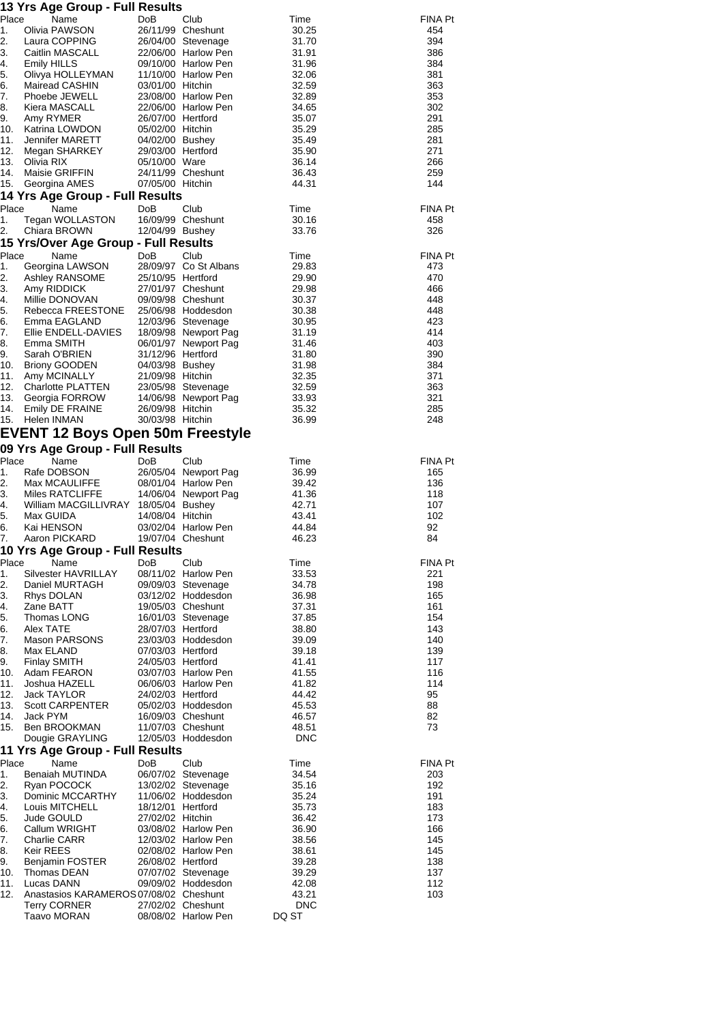| 13 Yrs Age Group - Full Results |                                         |                   |                                           |                |                       |  |
|---------------------------------|-----------------------------------------|-------------------|-------------------------------------------|----------------|-----------------------|--|
| Place                           | Name                                    | DoB               | Club                                      | Time           | <b>FINA Pt</b>        |  |
| 1.                              | Olivia PAWSON                           |                   | 26/11/99 Cheshunt                         | 30.25          | 454                   |  |
| 2.                              | Laura COPPING                           |                   | 26/04/00 Stevenage                        | 31.70          | 394                   |  |
| 3.                              | Caitlin MASCALL                         |                   | 22/06/00 Harlow Pen                       | 31.91          | 386                   |  |
| 4.                              | Emily HILLS                             |                   | 09/10/00 Harlow Pen                       | 31.96          | 384                   |  |
| 5.<br>6.                        | Olivya HOLLEYMAN<br>Mairead CASHIN      | 03/01/00 Hitchin  | 11/10/00 Harlow Pen                       | 32.06<br>32.59 | 381<br>363            |  |
| 7.                              | Phoebe JEWELL                           |                   | 23/08/00 Harlow Pen                       | 32.89          | 353                   |  |
| 8.                              | Kiera MASCALL                           |                   | 22/06/00 Harlow Pen                       | 34.65          | 302                   |  |
| 9.                              | Amy RYMER                               | 26/07/00 Hertford |                                           | 35.07          | 291                   |  |
|                                 | 10. Katrina LOWDON                      | 05/02/00 Hitchin  |                                           | 35.29          | 285                   |  |
| 11.                             | Jennifer MARETT                         | 04/02/00 Bushey   |                                           | 35.49          | 281                   |  |
| 12.                             | Megan SHARKEY                           | 29/03/00 Hertford |                                           | 35.90          | 271                   |  |
| 13.                             | Olivia RIX                              | 05/10/00 Ware     |                                           | 36.14          | 266                   |  |
| 14.                             | Maisie GRIFFIN                          |                   | 24/11/99 Cheshunt                         | 36.43          | 259                   |  |
| 15.                             | Georgina AMES                           | 07/05/00 Hitchin  |                                           | 44.31          | 144                   |  |
|                                 | 14 Yrs Age Group - Full Results         |                   |                                           |                |                       |  |
| Place<br>.1.                    | Name<br>Tegan WOLLASTON                 | DoB               | Club<br>16/09/99 Cheshunt                 | Time           | <b>FINA Pt</b><br>458 |  |
| 2.                              | Chiara BROWN                            | 12/04/99 Bushey   |                                           | 30.16<br>33.76 | 326                   |  |
|                                 | 15 Yrs/Over Age Group - Full Results    |                   |                                           |                |                       |  |
| Place                           | Name                                    | DoB               | Club                                      | Time           | <b>FINA Pt</b>        |  |
| 1.                              | Georgina LAWSON                         |                   | 28/09/97 Co St Albans                     | 29.83          | 473                   |  |
| 2.                              | Ashley RANSOME                          | 25/10/95 Hertford |                                           | 29.90          | 470                   |  |
| 3.                              | Amy RIDDICK                             |                   | 27/01/97 Cheshunt                         | 29.98          | 466                   |  |
| 4.                              | Millie DONOVAN                          |                   | 09/09/98 Cheshunt                         | 30.37          | 448                   |  |
| 5.                              | Rebecca FREESTONE                       |                   | 25/06/98 Hoddesdon                        | 30.38          | 448                   |  |
| 6.                              | Emma EAGLAND                            |                   | 12/03/96 Stevenage                        | 30.95          | 423                   |  |
| 7.                              | Ellie ENDELL-DAVIES                     |                   | 18/09/98 Newport Pag                      | 31.19          | 414                   |  |
| 8.                              | Emma SMITH                              |                   | 06/01/97 Newport Pag                      | 31.46          | 403                   |  |
| 9.                              | Sarah O'BRIEN                           | 31/12/96 Hertford |                                           | 31.80          | 390                   |  |
| 10.                             | <b>Briony GOODEN</b>                    | 04/03/98 Bushey   |                                           | 31.98          | 384                   |  |
| 11.<br>12.                      | Amy MCINALLY<br>Charlotte PLATTEN       | 21/09/98 Hitchin  | 23/05/98 Stevenage                        | 32.35<br>32.59 | 371<br>363            |  |
| 13.                             | Georgia FORROW                          |                   | 14/06/98 Newport Pag                      | 33.93          | 321                   |  |
| 14.                             | Emily DE FRAINE                         | 26/09/98 Hitchin  |                                           | 35.32          | 285                   |  |
| 15.                             | Helen INMAN                             | 30/03/98 Hitchin  |                                           | 36.99          | 248                   |  |
|                                 | <b>EVENT 12 Boys Open 50m Freestyle</b> |                   |                                           |                |                       |  |
|                                 | 09 Yrs Age Group - Full Results         |                   |                                           |                |                       |  |
| Place                           | Name                                    | DoB               | Club                                      | Time           | <b>FINA Pt</b>        |  |
| 1.                              | Rafe DOBSON                             |                   | 26/05/04 Newport Pag                      | 36.99          | 165                   |  |
| 2.                              | Max MCAULIFFE                           |                   | 08/01/04 Harlow Pen                       | 39.42          | 136                   |  |
| 3.                              | Miles RATCLIFFE                         |                   | 14/06/04 Newport Pag                      | 41.36          | 118                   |  |
| 4.                              | William MACGILLIVRAY 18/05/04 Bushey    |                   |                                           | 42.71          | 107                   |  |
| 5.                              | Max GUIDA                               | 14/08/04 Hitchin  |                                           | 43.41          | 102                   |  |
| 6.                              | Kai HENSON                              |                   | 03/02/04 Harlow Pen                       | 44.84          | 92                    |  |
| 7.                              | Aaron PICKARD                           |                   | 19/07/04 Cheshunt                         | 46.23          | 84                    |  |
|                                 | 10 Yrs Age Group - Full Results         |                   |                                           |                |                       |  |
| Place                           | Name                                    | DoB               | Club                                      | Time           | <b>FINA Pt</b>        |  |
| 1.<br>2.                        | Silvester HAVRILLAY<br>Daniel MURTAGH   |                   | 08/11/02 Harlow Pen<br>09/09/03 Stevenage | 33.53<br>34.78 | 221<br>198            |  |
| 3.                              | Rhys DOLAN                              |                   | 03/12/02 Hoddesdon                        | 36.98          | 165                   |  |
| 4.                              | Zane BATT                               |                   | 19/05/03 Cheshunt                         | 37.31          | 161                   |  |
| 5.                              | Thomas LONG                             |                   | 16/01/03 Stevenage                        | 37.85          | 154                   |  |
| 6.                              | Alex TATE                               | 28/07/03 Hertford |                                           | 38.80          | 143                   |  |
| 7.                              | Mason PARSONS                           |                   | 23/03/03 Hoddesdon                        | 39.09          | 140                   |  |
| 8.                              | Max ELAND                               | 07/03/03 Hertford |                                           | 39.18          | 139                   |  |
| 9.                              | <b>Finlay SMITH</b>                     | 24/05/03 Hertford |                                           | 41.41          | 117                   |  |
| 10.                             | Adam FEARON                             |                   | 03/07/03 Harlow Pen                       | 41.55          | 116                   |  |
| 11.                             | Joshua HAZELL                           |                   | 06/06/03 Harlow Pen                       | 41.82          | 114                   |  |
| 12.<br>13.                      | Jack TAYLOR<br><b>Scott CARPENTER</b>   | 24/02/03 Hertford |                                           | 44.42<br>45.53 | 95<br>88              |  |
| 14.                             | Jack PYM                                |                   | 05/02/03 Hoddesdon<br>16/09/03 Cheshunt   | 46.57          | 82                    |  |
| 15.                             | Ben BROOKMAN                            |                   | 11/07/03 Cheshunt                         | 48.51          | 73                    |  |
|                                 | Dougie GRAYLING                         |                   | 12/05/03 Hoddesdon                        | <b>DNC</b>     |                       |  |
|                                 | 11 Yrs Age Group - Full Results         |                   |                                           |                |                       |  |
| Place                           | Name                                    | DoB               | Club                                      | Time           | FINA Pt               |  |
| 1.                              | Benaiah MUTINDA                         |                   | 06/07/02 Stevenage                        | 34.54          | 203                   |  |
| 2.                              | Ryan POCOCK                             |                   | 13/02/02 Stevenage                        | 35.16          | 192                   |  |
| 3.                              | Dominic MCCARTHY                        |                   | 11/06/02 Hoddesdon                        | 35.24          | 191                   |  |
| 4.                              | Louis MITCHELL                          | 18/12/01 Hertford |                                           | 35.73          | 183                   |  |
| 5.                              | Jude GOULD                              | 27/02/02 Hitchin  |                                           | 36.42          | 173                   |  |
| 6.                              | Callum WRIGHT                           |                   | 03/08/02 Harlow Pen                       | 36.90          | 166                   |  |
| 7.                              | <b>Charlie CARR</b>                     |                   | 12/03/02 Harlow Pen                       | 38.56          | 145                   |  |
| 8.<br>9.                        | Keir REES<br><b>Benjamin FOSTER</b>     | 26/08/02 Hertford | 02/08/02 Harlow Pen                       | 38.61<br>39.28 | 145<br>138            |  |
| 10.                             | Thomas DEAN                             |                   | 07/07/02 Stevenage                        | 39.29          | 137                   |  |
| 11.                             | Lucas DANN                              |                   | 09/09/02 Hoddesdon                        | 42.08          | 112                   |  |
| 12.                             | Anastasios KARAMEROS 07/08/02 Cheshunt  |                   |                                           | 43.21          | 103                   |  |
|                                 | <b>Terry CORNER</b>                     |                   | 27/02/02 Cheshunt                         | <b>DNC</b>     |                       |  |
|                                 | Taavo MORAN                             |                   | 08/08/02 Harlow Pen                       | DQ ST          |                       |  |